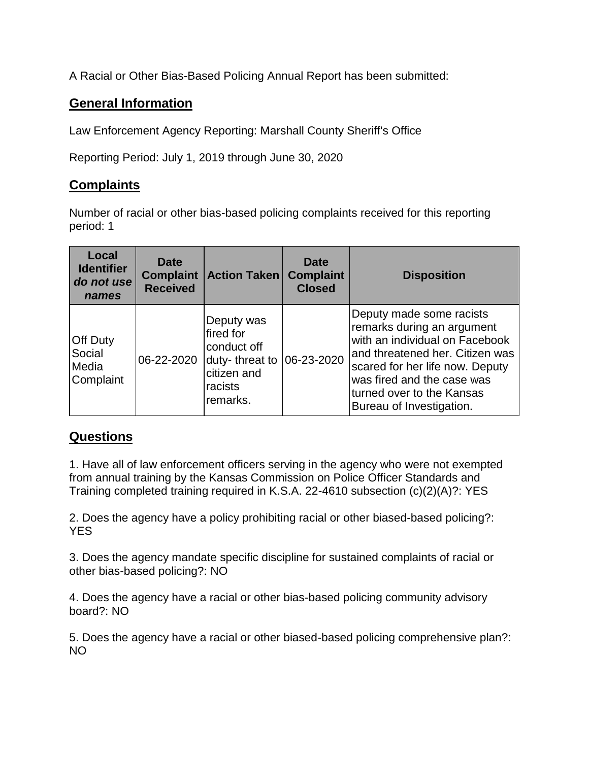A Racial or Other Bias-Based Policing Annual Report has been submitted:

## **General Information**

Law Enforcement Agency Reporting: Marshall County Sheriff's Office

Reporting Period: July 1, 2019 through June 30, 2020

## **Complaints**

Number of racial or other bias-based policing complaints received for this reporting period: 1

| Local<br><b>Identifier</b><br>do not use<br>names | Date<br><b>Complaint</b><br><b>Received</b> | <b>Action Taken</b>                                                                            | <b>Date</b><br><b>Complaint</b><br><b>Closed</b> | <b>Disposition</b>                                                                                                                                                                                                                                    |
|---------------------------------------------------|---------------------------------------------|------------------------------------------------------------------------------------------------|--------------------------------------------------|-------------------------------------------------------------------------------------------------------------------------------------------------------------------------------------------------------------------------------------------------------|
| <b>Off Duty</b><br>Social<br>Media<br>Complaint   | 06-22-2020                                  | Deputy was<br>fired for<br>conduct off<br>duty-threat to<br>citizen and<br>racists<br>remarks. | $ 06 - 23 - 2020$                                | Deputy made some racists<br>remarks during an argument<br>with an individual on Facebook<br>and threatened her. Citizen was<br>scared for her life now. Deputy<br>was fired and the case was<br>turned over to the Kansas<br>Bureau of Investigation. |

## **Questions**

1. Have all of law enforcement officers serving in the agency who were not exempted from annual training by the Kansas Commission on Police Officer Standards and Training completed training required in K.S.A. 22-4610 subsection (c)(2)(A)?: YES

2. Does the agency have a policy prohibiting racial or other biased-based policing?: YES

3. Does the agency mandate specific discipline for sustained complaints of racial or other bias-based policing?: NO

4. Does the agency have a racial or other bias-based policing community advisory board?: NO

5. Does the agency have a racial or other biased-based policing comprehensive plan?: NO